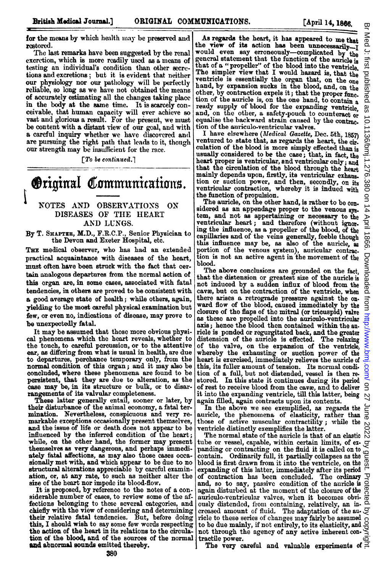for the means by which health may be preserved and restored.

The last remarks have been suggested by the renal excretion, which is more readily used as a means of testing an individual's condition than other secretions and excretions; but it is evident that neither our physiology nor our pathology will be perfectly reliable, so long as we have not obtained the means of accurately estimating all the changes taking place in the body at the same time. It is scarcely conceivable, that human capacity will ever achieve so vast and glorious a result. For the present, we must be content with a distant view of our goal, and with a careful inquiry whether we have discovered and are pursuing the right path that leads to it, though our strength may be insufficient for the race.

 $\lceil T_0 \rceil$  be continued.

# **Original Communications.**

## NOTES AND OBSERVATIONS ON DISEASES OF THE HEART AND LUNGS.

By T. SHAPTER, M.D., F.R.C.P., Senior Physician to the Devon and Exeter Hospital, etc.

THE medical observer, who has had an extended practical acquaintance with diseases of the heart, must often have been struck with the fact that certain analogous departures from the normal action of this organ are, in some cases, associated with fatal tendencies, in others are proved to be consistent with a good average state of health; while others, again, yielding to the most careful physical examination but few, or even no, indications of disease, may prove to be unexpectedly fatal.

It may be assumed that those more obvious physical phenomena which the heart reveals, whether to the touch, to careful percussion, or to the attentive ear, as differing from what is usual in health, are due to departures, perchance temporary only, from the normal condition of this organ; and it may also be concluded, where these phenomena are found to be persistent, that they are due to alteration, as the case may be, in its structure or bulk, or to disar-

rangements of its valvular completeness.<br>These latter generally entail, sooner or later, by their disturbance of the animal economy, a fatal ter. mination. Nevertheless, conspicuous and very remarkable exceptions occasionally present themselves, and the issue of life or death does not appear to be influenced by the inferred condition of the heart; while, on the other hand, the former may present themselves as very dangerous, and perhaps immediately fatal affections, as may also those cases occasionally met with, and which appear to be due to no structural alterations appreciable by careful examination, or, at any rate, to such as neither alter the size of the heart nor impede its blood-flow.

It is proposed, by reference to the notes of a considerable number of cases, to review some of the affections belonging to these several categories, and chiefly with the view of considering and determining their relative fatal tendencies. But, before doing this, I should wish to say some few words respecting the action of the heart in its relations to the circulation of the blood, and of the sources of the normal and abnormal sounds emitted thereby.

As regards the heart, it has appeared to me that<br>the view of its action has been unnecessarilythe view of its action has been unnecessarily—I<br>would even say erroneously—complicated by the<br>general statement that the function of the auricle is that of a "propeller" of the blood into the ventricle.<br>The simpler view that I would hazard is, that the ventricle is essentially the organ that, on the one hand, by expansion sucks in the blood, and, on the other, by contraction expels it; that the proper func. tion of the auricle is, on the one hand, to contain <sup>a</sup> ready supply of blood for the expanding ventricle and, on the other, a safety-pouch to counteract or equalise the backward strain caused by the contrac.

tion of the auriculo-ventricular valves.<br>I have elsewhere (*Medical Gazette*, Dec. 5th, 1857) ventured to state that, as regards the heart, the cir. culation of the blood is more simply effected than is usually considered to be the case; that, in fact, the heart proper is ventricular, and ventricular only; and that the circulation of the blood through the heart mainly depends upon, firstly, its ventricular exhaus. tion or suction power, and then, secondly, on its ventricular contraction, whereby it is indued with the function of propulsion.

The auricle, on the other hand, is rather to be con. sidered as an appendage proper to the venous sys. tem, and not as appertaining or necessary to the ventricular heart; and therefore (without ignor. ing the influence, as a propeller of the blood, of the capillaries and of the veins generally, feeble though this influence may be, as also of the auricle, as portion of the venous system), auricular contrac. tion is not an active agent in the movement of the blood.

The above conclusions are grounded on the fact, that the distension or greatest size of the auricle is not induced by a sudden influx of blood from the cave, but on the contraction of the ventricle, when there arises a retrograde pressure against the on. ward flow of the blood, caused immediately by the closure of the flaps of the mitral (or tricuspid) valve as these are propelled into the aurioulo-ventricular axis; hence the blood then contained within the au ricle is ponded or regurgitated back, and the greater distension of the auricle is effected. The relaxing of the valve, on the expansion of the ventricle, whereby the exhausting or suction power of the heart is exercised, immediately relieves the auricle of this, its fuller amount of tension. Its normal condi. tion of a full, but not distended, vessel is then restored. In this state it continues during its period of rest to receive blood from the cave, and to deliver it into the expanding ventricle, till this latter, being again filled, again contracts upon its contents.

In the above we see exemplified, as regards the auricle, the phenomena of elasticity, rather than those of active muscular contractility; while the ventricle distinctly exemplifies the latter.

The normal state of the auricle is that of an elastic  $\stackrel{\text{N}}{\sim}$ tube or vessel, capable, within certain limits, of expanding or contracting on the fluid it is called on to contain. Ordinarily full, it partially collapses as the blood is first drawn from it into the ventricle, on the  $\mathcal{G}$ expanding of this latter, immediately after its period of contraction has been concluded. The ordinary and, so to say, passive condition of the auricle is  $\vec{Q}$ again disturbed at the moment of the closure of the auriculo-ventricular valves, when it becomes obvi- $\vec{\theta}$ ously distended, from containing, relatively, an increased amount of fluid. The adaptation of the au- $\mathcal{Q}$ ricle to these series of changes may fairly be assumed to be due mainly, if not entirely, to its elasticity, and  $\frac{1}{x}$ not through the agency of any active inherent contractile power.

The very careful and valuable experiments of  $\Xi$